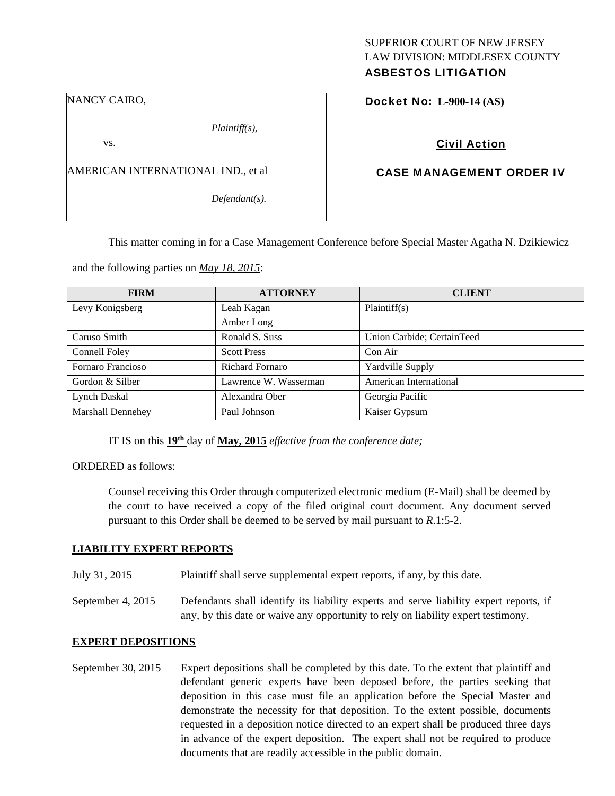#### NANCY CAIRO,

*Plaintiff(s),* 

vs.

AMERICAN INTERNATIONAL IND., et al

*Defendant(s).* 

### SUPERIOR COURT OF NEW JERSEY LAW DIVISION: MIDDLESEX COUNTY ASBESTOS LITIGATION

Docket No: **L-900-14 (AS)** 

# Civil Action

## CASE MANAGEMENT ORDER IV

This matter coming in for a Case Management Conference before Special Master Agatha N. Dzikiewicz

and the following parties on *May 18, 2015*:

| <b>FIRM</b>              | <b>ATTORNEY</b>       | <b>CLIENT</b>              |
|--------------------------|-----------------------|----------------------------|
| Levy Konigsberg          | Leah Kagan            | Plaintiff(s)               |
|                          | Amber Long            |                            |
| Caruso Smith             | Ronald S. Suss        | Union Carbide; CertainTeed |
| Connell Foley            | <b>Scott Press</b>    | Con Air                    |
| Fornaro Francioso        | Richard Fornaro       | Yardville Supply           |
| Gordon & Silber          | Lawrence W. Wasserman | American International     |
| Lynch Daskal             | Alexandra Ober        | Georgia Pacific            |
| <b>Marshall Dennehey</b> | Paul Johnson          | Kaiser Gypsum              |

IT IS on this **19th** day of **May, 2015** *effective from the conference date;* 

ORDERED as follows:

Counsel receiving this Order through computerized electronic medium (E-Mail) shall be deemed by the court to have received a copy of the filed original court document. Any document served pursuant to this Order shall be deemed to be served by mail pursuant to *R*.1:5-2.

### **LIABILITY EXPERT REPORTS**

July 31, 2015 Plaintiff shall serve supplemental expert reports, if any, by this date.

September 4, 2015 Defendants shall identify its liability experts and serve liability expert reports, if any, by this date or waive any opportunity to rely on liability expert testimony.

### **EXPERT DEPOSITIONS**

September 30, 2015 Expert depositions shall be completed by this date. To the extent that plaintiff and defendant generic experts have been deposed before, the parties seeking that deposition in this case must file an application before the Special Master and demonstrate the necessity for that deposition. To the extent possible, documents requested in a deposition notice directed to an expert shall be produced three days in advance of the expert deposition. The expert shall not be required to produce documents that are readily accessible in the public domain.